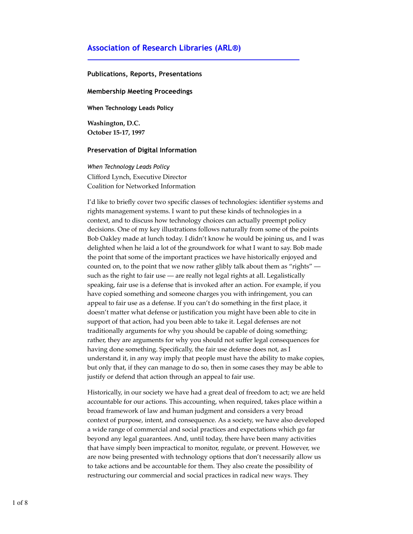## **Association of Research Libraries (ARL®)**

## **Publications, Reports, Presentations**

## **Membership Meeting Proceedings**

**When Technology Leads Policy**

**Washington, D.C. October 15-17, 1997**

## **Preservation of Digital Information**

*When Technology Leads Policy* Clifford Lynch, Executive Director Coalition for Networked Information

I'd like to briefly cover two specific classes of technologies: identifier systems and rights management systems. I want to put these kinds of technologies in a context, and to discuss how technology choices can actually preempt policy decisions. One of my key illustrations follows naturally from some of the points Bob Oakley made at lunch today. I didn't know he would be joining us, and I was delighted when he laid a lot of the groundwork for what I want to say. Bob made the point that some of the important practices we have historically enjoyed and counted on, to the point that we now rather glibly talk about them as "rights" such as the right to fair use — are really not legal rights at all. Legalistically speaking, fair use is a defense that is invoked after an action. For example, if you have copied something and someone charges you with infringement, you can appeal to fair use as a defense. If you can't do something in the first place, it doesn't matter what defense or justification you might have been able to cite in support of that action, had you been able to take it. Legal defenses are not traditionally arguments for why you should be capable of doing something; rather, they are arguments for why you should not suffer legal consequences for having done something. Specifically, the fair use defense does not, as I understand it, in any way imply that people must have the ability to make copies, but only that, if they can manage to do so, then in some cases they may be able to justify or defend that action through an appeal to fair use.

Historically, in our society we have had a great deal of freedom to act; we are held accountable for our actions. This accounting, when required, takes place within a broad framework of law and human judgment and considers a very broad context of purpose, intent, and consequence. As a society, we have also developed a wide range of commercial and social practices and expectations which go far beyond any legal guarantees. And, until today, there have been many activities that have simply been impractical to monitor, regulate, or prevent. However, we are now being presented with technology options that don't necessarily allow us to take actions and be accountable for them. They also create the possibility of restructuring our commercial and social practices in radical new ways. They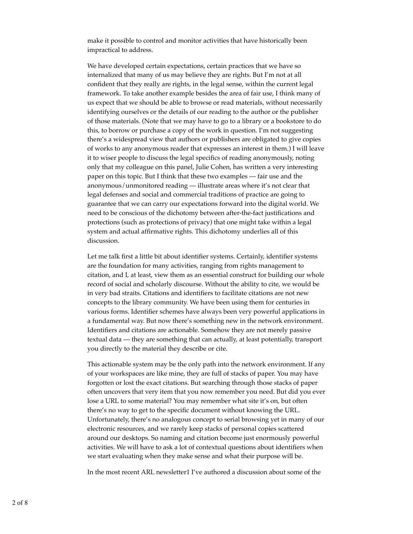make it possible to control and monitor activities that have historically been impractical to address.

We have developed certain expectations, certain practices that we have so internalized that many of us may believe they are rights. But I'm not at all confident that they really are rights, in the legal sense, within the current legal framework. To take another example besides the area of fair use, I think many of us expect that we should be able to browse or read materials, without necessarily identifying ourselves or the details of our reading to the author or the publisher of those materials. (Note that we may have to go to a library or a bookstore to do this, to borrow or purchase a copy of the work in question. I'm not suggesting there's a widespread view that authors or publishers are obligated to give copies of works to any anonymous reader that expresses an interest in them.) I will leave it to wiser people to discuss the legal specifics of reading anonymously, noting only that my colleague on this panel, Julie Cohen, has written a very interesting paper on this topic. But I think that these two examples — fair use and the anonymous/unmonitored reading — illustrate areas where it's not clear that legal defenses and social and commercial traditions of practice are going to guarantee that we can carry our expectations forward into the digital world. We need to be conscious of the dichotomy between after-the-fact justifications and protections (such as protections of privacy) that one might take within a legal system and actual affirmative rights. This dichotomy underlies all of this discussion.

Let me talk first a little bit about identifier systems. Certainly, identifier systems are the foundation for many activities, ranging from rights management to citation, and I, at least, view them as an essential construct for building our whole record of social and scholarly discourse. Without the ability to cite, we would be in very bad straits. Citations and identifiers to facilitate citations are not new concepts to the library community. We have been using them for centuries in various forms. Identifier schemes have always been very powerful applications in a fundamental way. But now there's something new in the network environment. Identifiers and citations are actionable. Somehow they are not merely passive textual data — they are something that can actually, at least potentially, transport you directly to the material they describe or cite.

This actionable system may be the only path into the network environment. If any of your workspaces are like mine, they are full of stacks of paper. You may have forgotten or lost the exact citations. But searching through those stacks of paper often uncovers that very item that you now remember you need. But did you ever lose a URL to some material? You may remember what site it's on, but often there's no way to get to the specific document without knowing the URL. Unfortunately, there's no analogous concept to serial browsing yet in many of our electronic resources, and we rarely keep stacks of personal copies scattered around our desktops. So naming and citation become just enormously powerful activities. We will have to ask a lot of contextual questions about identifiers when we start evaluating when they make sense and what their purpose will be.

In the most recent ARL newsletter1 I've authored a discussion about some of the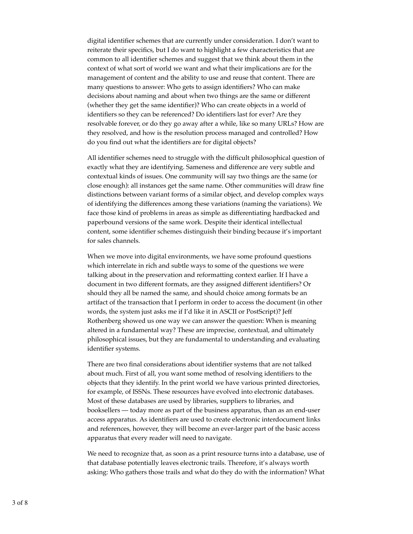digital identifier schemes that are currently under consideration. I don't want to reiterate their specifics, but I do want to highlight a few characteristics that are common to all identifier schemes and suggest that we think about them in the context of what sort of world we want and what their implications are for the management of content and the ability to use and reuse that content. There are many questions to answer: Who gets to assign identifiers? Who can make decisions about naming and about when two things are the same or different (whether they get the same identifier)? Who can create objects in a world of identifiers so they can be referenced? Do identifiers last for ever? Are they resolvable forever, or do they go away after a while, like so many URLs? How are they resolved, and how is the resolution process managed and controlled? How do you find out what the identifiers are for digital objects?

All identifier schemes need to struggle with the difficult philosophical question of exactly what they are identifying. Sameness and difference are very subtle and contextual kinds of issues. One community will say two things are the same (or close enough): all instances get the same name. Other communities will draw fine distinctions between variant forms of a similar object, and develop complex ways of identifying the differences among these variations (naming the variations). We face those kind of problems in areas as simple as differentiating hardbacked and paperbound versions of the same work. Despite their identical intellectual content, some identifier schemes distinguish their binding because it's important for sales channels.

When we move into digital environments, we have some profound questions which interrelate in rich and subtle ways to some of the questions we were talking about in the preservation and reformatting context earlier. If I have a document in two different formats, are they assigned different identifiers? Or should they all be named the same, and should choice among formats be an artifact of the transaction that I perform in order to access the document (in other words, the system just asks me if I'd like it in ASCII or PostScript)? Jeff Rothenberg showed us one way we can answer the question: When is meaning altered in a fundamental way? These are imprecise, contextual, and ultimately philosophical issues, but they are fundamental to understanding and evaluating identifier systems.

There are two final considerations about identifier systems that are not talked about much. First of all, you want some method of resolving identifiers to the objects that they identify. In the print world we have various printed directories, for example, of ISSNs. These resources have evolved into electronic databases. Most of these databases are used by libraries, suppliers to libraries, and booksellers — today more as part of the business apparatus, than as an end-user access apparatus. As identifiers are used to create electronic interdocument links and references, however, they will become an ever-larger part of the basic access apparatus that every reader will need to navigate.

We need to recognize that, as soon as a print resource turns into a database, use of that database potentially leaves electronic trails. Therefore, it's always worth asking: Who gathers those trails and what do they do with the information? What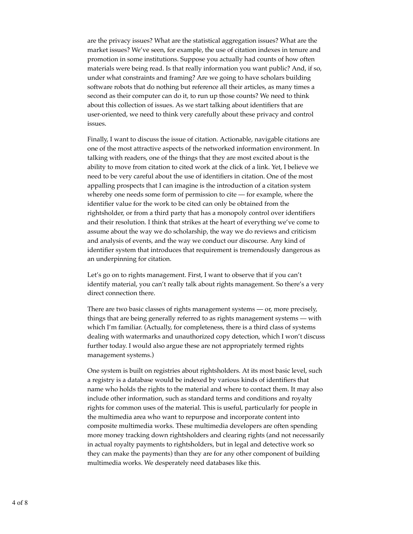are the privacy issues? What are the statistical aggregation issues? What are the market issues? We've seen, for example, the use of citation indexes in tenure and promotion in some institutions. Suppose you actually had counts of how often materials were being read. Is that really information you want public? And, if so, under what constraints and framing? Are we going to have scholars building software robots that do nothing but reference all their articles, as many times a second as their computer can do it, to run up those counts? We need to think about this collection of issues. As we start talking about identifiers that are user-oriented, we need to think very carefully about these privacy and control issues.

Finally, I want to discuss the issue of citation. Actionable, navigable citations are one of the most attractive aspects of the networked information environment. In talking with readers, one of the things that they are most excited about is the ability to move from citation to cited work at the click of a link. Yet, I believe we need to be very careful about the use of identifiers in citation. One of the most appalling prospects that I can imagine is the introduction of a citation system whereby one needs some form of permission to cite — for example, where the identifier value for the work to be cited can only be obtained from the rightsholder, or from a third party that has a monopoly control over identifiers and their resolution. I think that strikes at the heart of everything we've come to assume about the way we do scholarship, the way we do reviews and criticism and analysis of events, and the way we conduct our discourse. Any kind of identifier system that introduces that requirement is tremendously dangerous as an underpinning for citation.

Let's go on to rights management. First, I want to observe that if you can't identify material, you can't really talk about rights management. So there's a very direct connection there.

There are two basic classes of rights management systems — or, more precisely, things that are being generally referred to as rights management systems — with which I'm familiar. (Actually, for completeness, there is a third class of systems dealing with watermarks and unauthorized copy detection, which I won't discuss further today. I would also argue these are not appropriately termed rights management systems.)

One system is built on registries about rightsholders. At its most basic level, such a registry is a database would be indexed by various kinds of identifiers that name who holds the rights to the material and where to contact them. It may also include other information, such as standard terms and conditions and royalty rights for common uses of the material. This is useful, particularly for people in the multimedia area who want to repurpose and incorporate content into composite multimedia works. These multimedia developers are often spending more money tracking down rightsholders and clearing rights (and not necessarily in actual royalty payments to rightsholders, but in legal and detective work so they can make the payments) than they are for any other component of building multimedia works. We desperately need databases like this.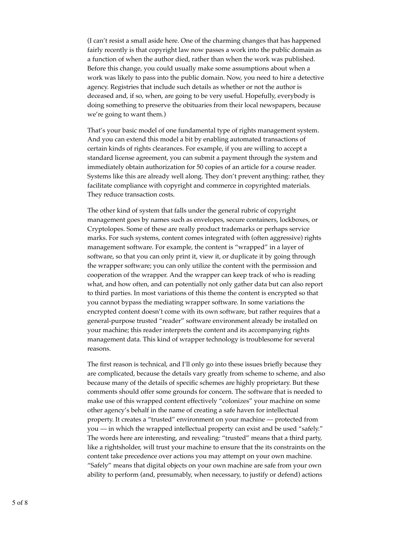(I can't resist a small aside here. One of the charming changes that has happened fairly recently is that copyright law now passes a work into the public domain as a function of when the author died, rather than when the work was published. Before this change, you could usually make some assumptions about when a work was likely to pass into the public domain. Now, you need to hire a detective agency. Registries that include such details as whether or not the author is deceased and, if so, when, are going to be very useful. Hopefully, everybody is doing something to preserve the obituaries from their local newspapers, because we're going to want them.)

That's your basic model of one fundamental type of rights management system. And you can extend this model a bit by enabling automated transactions of certain kinds of rights clearances. For example, if you are willing to accept a standard license agreement, you can submit a payment through the system and immediately obtain authorization for 50 copies of an article for a course reader. Systems like this are already well along. They don't prevent anything: rather, they facilitate compliance with copyright and commerce in copyrighted materials. They reduce transaction costs.

The other kind of system that falls under the general rubric of copyright management goes by names such as envelopes, secure containers, lockboxes, or Cryptolopes. Some of these are really product trademarks or perhaps service marks. For such systems, content comes integrated with (often aggressive) rights management software. For example, the content is "wrapped" in a layer of software, so that you can only print it, view it, or duplicate it by going through the wrapper software; you can only utilize the content with the permission and cooperation of the wrapper. And the wrapper can keep track of who is reading what, and how often, and can potentially not only gather data but can also report to third parties. In most variations of this theme the content is encrypted so that you cannot bypass the mediating wrapper software. In some variations the encrypted content doesn't come with its own software, but rather requires that a general-purpose trusted "reader" software environment already be installed on your machine; this reader interprets the content and its accompanying rights management data. This kind of wrapper technology is troublesome for several reasons.

The first reason is technical, and I'll only go into these issues briefly because they are complicated, because the details vary greatly from scheme to scheme, and also because many of the details of specific schemes are highly proprietary. But these comments should offer some grounds for concern. The software that is needed to make use of this wrapped content effectively "colonizes" your machine on some other agency's behalf in the name of creating a safe haven for intellectual property. It creates a "trusted" environment on your machine — protected from you — in which the wrapped intellectual property can exist and be used "safely." The words here are interesting, and revealing: "trusted" means that a third party, like a rightsholder, will trust your machine to ensure that the its constraints on the content take precedence over actions you may attempt on your own machine. "Safely" means that digital objects on your own machine are safe from your own ability to perform (and, presumably, when necessary, to justify or defend) actions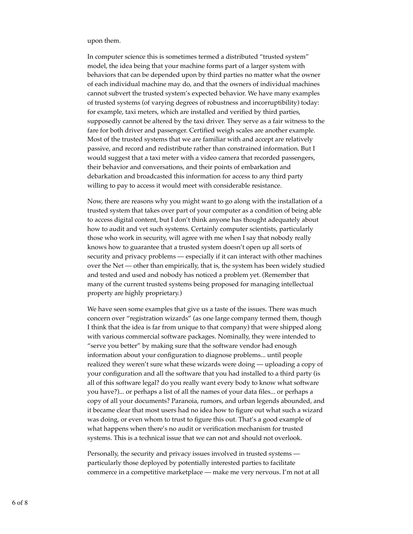upon them.

In computer science this is sometimes termed a distributed "trusted system" model, the idea being that your machine forms part of a larger system with behaviors that can be depended upon by third parties no matter what the owner of each individual machine may do, and that the owners of individual machines cannot subvert the trusted system's expected behavior. We have many examples of trusted systems (of varying degrees of robustness and incorruptibility) today: for example, taxi meters, which are installed and verified by third parties, supposedly cannot be altered by the taxi driver. They serve as a fair witness to the fare for both driver and passenger. Certified weigh scales are another example. Most of the trusted systems that we are familiar with and accept are relatively passive, and record and redistribute rather than constrained information. But I would suggest that a taxi meter with a video camera that recorded passengers, their behavior and conversations, and their points of embarkation and debarkation and broadcasted this information for access to any third party willing to pay to access it would meet with considerable resistance.

Now, there are reasons why you might want to go along with the installation of a trusted system that takes over part of your computer as a condition of being able to access digital content, but I don't think anyone has thought adequately about how to audit and vet such systems. Certainly computer scientists, particularly those who work in security, will agree with me when I say that nobody really knows how to guarantee that a trusted system doesn't open up all sorts of security and privacy problems — especially if it can interact with other machines over the Net — other than empirically, that is, the system has been widely studied and tested and used and nobody has noticed a problem yet. (Remember that many of the current trusted systems being proposed for managing intellectual property are highly proprietary.)

We have seen some examples that give us a taste of the issues. There was much concern over "registration wizards" (as one large company termed them, though I think that the idea is far from unique to that company) that were shipped along with various commercial software packages. Nominally, they were intended to "serve you better" by making sure that the software vendor had enough information about your configuration to diagnose problems... until people realized they weren't sure what these wizards were doing — uploading a copy of your configuration and all the software that you had installed to a third party (is all of this software legal? do you really want every body to know what software you have?)... or perhaps a list of all the names of your data files... or perhaps a copy of all your documents? Paranoia, rumors, and urban legends abounded, and it became clear that most users had no idea how to figure out what such a wizard was doing, or even whom to trust to figure this out. That's a good example of what happens when there's no audit or verification mechanism for trusted systems. This is a technical issue that we can not and should not overlook.

Personally, the security and privacy issues involved in trusted systems particularly those deployed by potentially interested parties to facilitate commerce in a competitive marketplace — make me very nervous. I'm not at all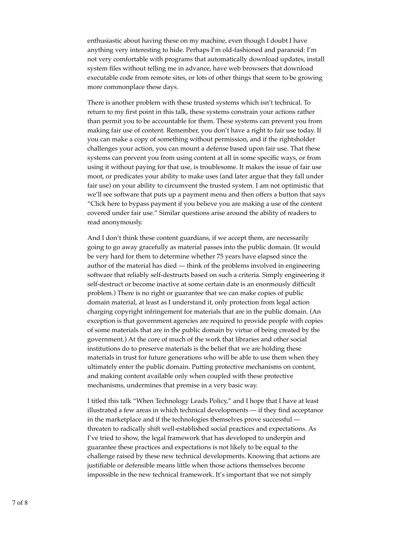enthusiastic about having these on my machine, even though I doubt I have anything very interesting to hide. Perhaps I'm old-fashioned and paranoid: I'm not very comfortable with programs that automatically download updates, install system files without telling me in advance, have web browsers that download executable code from remote sites, or lots of other things that seem to be growing more commonplace these days.

There is another problem with these trusted systems which isn't technical. To return to my first point in this talk, these systems constrain your actions rather than permit you to be accountable for them. These systems can prevent you from making fair use of content. Remember, you don't have a right to fair use today. If you can make a copy of something without permission, and if the rightsholder challenges your action, you can mount a defense based upon fair use. That these systems can prevent you from using content at all in some specific ways, or from using it without paying for that use, is troublesome. It makes the issue of fair use moot, or predicates your ability to make uses (and later argue that they fall under fair use) on your ability to circumvent the trusted system. I am not optimistic that we'll see software that puts up a payment menu and then offers a button that says "Click here to bypass payment if you believe you are making a use of the content covered under fair use." Similar questions arise around the ability of readers to read anonymously.

And I don't think these content guardians, if we accept them, are necessarily going to go away gracefully as material passes into the public domain. (It would be very hard for them to determine whether 75 years have elapsed since the author of the material has died — think of the problems involved in engineering software that reliably self-destructs based on such a criteria. Simply engineering it self-destruct or become inactive at some certain date is an enormously difficult problem.) There is no right or guarantee that we can make copies of public domain material, at least as I understand it, only protection from legal action charging copyright infringement for materials that are in the public domain. (An exception is that government agencies are required to provide people with copies of some materials that are in the public domain by virtue of being created by the government.) At the core of much of the work that libraries and other social institutions do to preserve materials is the belief that we are holding these materials in trust for future generations who will be able to use them when they ultimately enter the public domain. Putting protective mechanisms on content, and making content available only when coupled with these protective mechanisms, undermines that premise in a very basic way.

I titled this talk "When Technology Leads Policy," and I hope that I have at least illustrated a few areas in which technical developments — if they find acceptance in the marketplace and if the technologies themselves prove successful threaten to radically shift well-established social practices and expectations. As I've tried to show, the legal framework that has developed to underpin and guarantee these practices and expectations is not likely to be equal to the challenge raised by these new technical developments. Knowing that actions are justifiable or defensible means little when those actions themselves become impossible in the new technical framework. It's important that we not simply